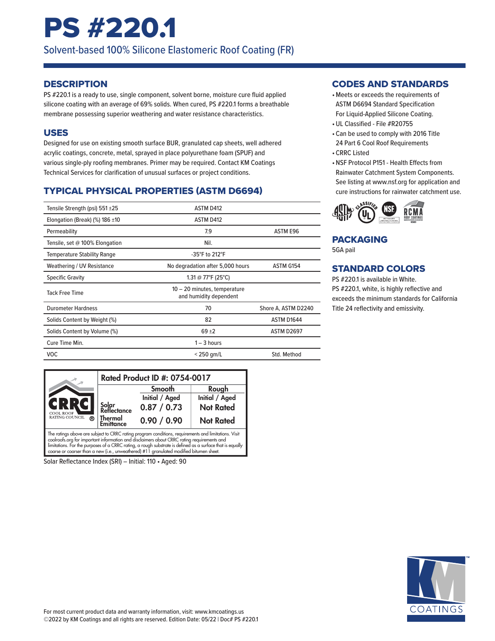## PS #220.1

Solvent-based 100% Silicone Elastomeric Roof Coating (FR)

#### **DESCRIPTION**

PS #220.1 is a ready to use, single component, solvent borne, moisture cure fluid applied silicone coating with an average of 69% solids. When cured, PS #220.1 forms a breathable membrane possessing superior weathering and water resistance characteristics.

#### USES

Designed for use on existing smooth surface BUR, granulated cap sheets, well adhered acrylic coatings, concrete, metal, sprayed in place polyurethane foam (SPUF) and various single-ply roofing membranes. Primer may be required. Contact KM Coatings Technical Services for clarification of unusual surfaces or project conditions.

### TYPICAL PHYSICAL PROPERTIES (ASTM D6694)

| Tensile Strength (psi) 551 ±25      | <b>ASTM D412</b>                                       |                     |
|-------------------------------------|--------------------------------------------------------|---------------------|
| Elongation (Break) (%) 186 $\pm$ 10 | <b>ASTM D412</b>                                       |                     |
| Permeability                        | 7.9                                                    | ASTM E96            |
| Tensile, set @ 100% Elongation      | Nil.                                                   |                     |
| <b>Temperature Stability Range</b>  | -35°F to 212°F                                         |                     |
| Weathering / UV Resistance          | No degradation after 5,000 hours                       | ASTM G154           |
| <b>Specific Gravity</b>             | 1.31 @ 77°F (25°C)                                     |                     |
| <b>Tack Free Time</b>               | 10 - 20 minutes, temperature<br>and humidity dependent |                     |
| <b>Durometer Hardness</b>           | 70                                                     | Shore A, ASTM D2240 |
| Solids Content by Weight (%)        | 82                                                     | ASTM D1644          |
| Solids Content by Volume (%)        | $69 + 2$                                               | <b>ASTM D2697</b>   |
| Cure Time Min.                      | $1 - 3$ hours                                          |                     |
| <b>VOC</b>                          | $<$ 250 gm/L                                           | Std. Method         |



Solar Reflectance Index (SRI) – Initial: 110 • Aged: 90

#### CODES AND STANDARDS

- •Meets or exceeds the requirements of ASTM D6694 Standard Specification For Liquid-Applied Silicone Coating.
- •UL Classified File #R20755
- Can be used to comply with 2016 Title 24 Part 6 Cool Roof Requirements
- CRRC Listed
- •NSF Protocol P151 Health Effects from Rainwater Catchment System Components. See listing at www.nsf.org for application and cure instructions for rainwater catchment use.



#### PACKAGING

5GA pail

#### STANDARD COLORS

PS #220.1 is available in White. PS #220.1, white, is highly reflective and exceeds the minimum standards for California Title 24 reflectivity and emissivity.